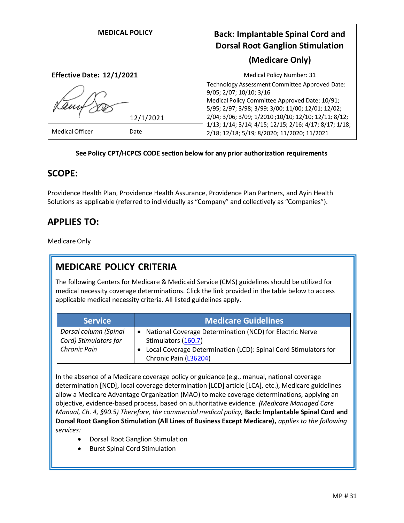|                           | <b>MEDICAL POLICY</b> | <b>Back: Implantable Spinal Cord and</b><br><b>Dorsal Root Ganglion Stimulation</b><br>(Medicare Only)     |
|---------------------------|-----------------------|------------------------------------------------------------------------------------------------------------|
| Effective Date: 12/1/2021 |                       | Medical Policy Number: 31                                                                                  |
|                           |                       | Technology Assessment Committee Approved Date:<br>9/05; 2/07; 10/10; 3/16                                  |
|                           |                       | Medical Policy Committee Approved Date: 10/91;                                                             |
|                           | 12/1/2021             | 5/95; 2/97; 3/98; 3/99; 3/00; 11/00; 12/01; 12/02;<br>2/04; 3/06; 3/09; 1/2010; 10/10; 12/10; 12/11; 8/12; |
| Medical Officer           | Date                  | 1/13; 1/14; 3/14; 4/15; 12/15; 2/16; 4/17; 8/17; 1/18;<br>2/18; 12/18; 5/19; 8/2020; 11/2020; 11/2021      |

#### **See Policy CPT/HCPCS CODE section below for any prior authorization requirements**

#### **SCOPE:**

Providence Health Plan, Providence Health Assurance, Providence Plan Partners, and Ayin Health Solutions as applicable (referred to individually as "Company" and collectively as "Companies").

#### **APPLIES TO:**

Medicare Only

#### **MEDICARE POLICY CRITERIA**

The following Centers for Medicare & Medicaid Service (CMS) guidelines should be utilized for medical necessity coverage determinations. Click the link provided in the table below to access applicable medical necessity criteria. All listed guidelines apply.

| <b>Service</b>                                 | <b>Medicare Guidelines</b>                                                               |
|------------------------------------------------|------------------------------------------------------------------------------------------|
| Dorsal column (Spinal<br>Cord) Stimulators for | National Coverage Determination (NCD) for Electric Nerve<br>Stimulators (160.7)          |
| <b>Chronic Pain</b>                            | Local Coverage Determination (LCD): Spinal Cord Stimulators for<br>Chronic Pain (L36204) |

In the absence of a Medicare coverage policy or guidance (e.g., manual, national coverage determination [NCD], local coverage determination [LCD] article [LCA], etc.), Medicare guidelines allow a Medicare Advantage Organization (MAO) to make coverage determinations, applying an objective, evidence-based process, based on authoritative evidence. *(Medicare Managed Care Manual, Ch. 4, §90.5) Therefore, the commercial medical policy,* **Back: Implantable Spinal Cord and Dorsal Root Ganglion Stimulation (All Lines of Business Except Medicare),** *applies to the following services:*

- Dorsal Root Ganglion Stimulation
- Burst Spinal Cord Stimulation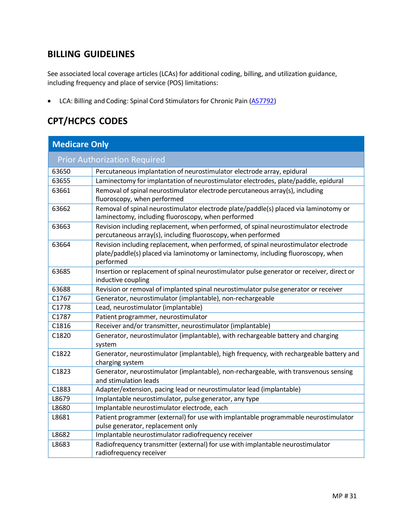### **BILLING GUIDELINES**

See associated local coverage articles (LCAs) for additional coding, billing, and utilization guidance, including frequency and place of service (POS) limitations:

• LCA: Billing and Coding: Spinal Cord Stimulators for Chronic Pain [\(A57792\)](https://www.cms.gov/medicare-coverage-database/details/article-details.aspx?articleId=57792)

# **CPT/HCPCS CODES**

| <b>Medicare Only</b>                |                                                                                                                                                                                       |  |
|-------------------------------------|---------------------------------------------------------------------------------------------------------------------------------------------------------------------------------------|--|
| <b>Prior Authorization Required</b> |                                                                                                                                                                                       |  |
| 63650                               | Percutaneous implantation of neurostimulator electrode array, epidural                                                                                                                |  |
| 63655                               | Laminectomy for implantation of neurostimulator electrodes, plate/paddle, epidural                                                                                                    |  |
| 63661                               | Removal of spinal neurostimulator electrode percutaneous array(s), including<br>fluoroscopy, when performed                                                                           |  |
| 63662                               | Removal of spinal neurostimulator electrode plate/paddle(s) placed via laminotomy or<br>laminectomy, including fluoroscopy, when performed                                            |  |
| 63663                               | Revision including replacement, when performed, of spinal neurostimulator electrode<br>percutaneous array(s), including fluoroscopy, when performed                                   |  |
| 63664                               | Revision including replacement, when performed, of spinal neurostimulator electrode<br>plate/paddle(s) placed via laminotomy or laminectomy, including fluoroscopy, when<br>performed |  |
| 63685                               | Insertion or replacement of spinal neurostimulator pulse generator or receiver, direct or<br>inductive coupling                                                                       |  |
| 63688                               | Revision or removal of implanted spinal neurostimulator pulse generator or receiver                                                                                                   |  |
| C1767                               | Generator, neurostimulator (implantable), non-rechargeable                                                                                                                            |  |
| C1778                               | Lead, neurostimulator (implantable)                                                                                                                                                   |  |
| C1787                               | Patient programmer, neurostimulator                                                                                                                                                   |  |
| C1816                               | Receiver and/or transmitter, neurostimulator (implantable)                                                                                                                            |  |
| C1820                               | Generator, neurostimulator (implantable), with rechargeable battery and charging<br>system                                                                                            |  |
| C1822                               | Generator, neurostimulator (implantable), high frequency, with rechargeable battery and<br>charging system                                                                            |  |
| C1823                               | Generator, neurostimulator (implantable), non-rechargeable, with transvenous sensing<br>and stimulation leads                                                                         |  |
| C1883                               | Adapter/extension, pacing lead or neurostimulator lead (implantable)                                                                                                                  |  |
| L8679                               | Implantable neurostimulator, pulse generator, any type                                                                                                                                |  |
| L8680                               | Implantable neurostimulator electrode, each                                                                                                                                           |  |
| L8681                               | Patient programmer (external) for use with implantable programmable neurostimulator<br>pulse generator, replacement only                                                              |  |
| L8682                               | Implantable neurostimulator radiofrequency receiver                                                                                                                                   |  |
| L8683                               | Radiofrequency transmitter (external) for use with implantable neurostimulator<br>radiofrequency receiver                                                                             |  |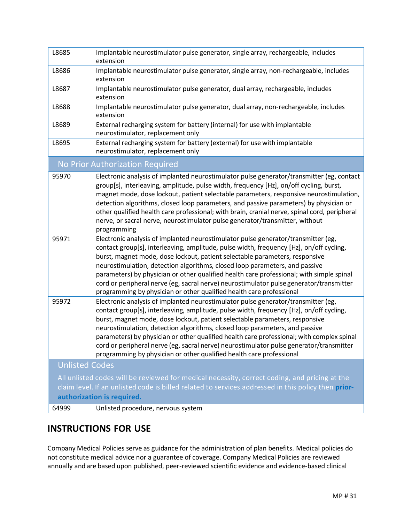| L8685                                                                                                                             | Implantable neurostimulator pulse generator, single array, rechargeable, includes<br>extension                                                                                                                                                                                                                                                                                                                                                                                                                                                                                                             |  |
|-----------------------------------------------------------------------------------------------------------------------------------|------------------------------------------------------------------------------------------------------------------------------------------------------------------------------------------------------------------------------------------------------------------------------------------------------------------------------------------------------------------------------------------------------------------------------------------------------------------------------------------------------------------------------------------------------------------------------------------------------------|--|
| L8686                                                                                                                             | Implantable neurostimulator pulse generator, single array, non-rechargeable, includes<br>extension                                                                                                                                                                                                                                                                                                                                                                                                                                                                                                         |  |
| L8687                                                                                                                             | Implantable neurostimulator pulse generator, dual array, rechargeable, includes<br>extension                                                                                                                                                                                                                                                                                                                                                                                                                                                                                                               |  |
| L8688                                                                                                                             | Implantable neurostimulator pulse generator, dual array, non-rechargeable, includes<br>extension                                                                                                                                                                                                                                                                                                                                                                                                                                                                                                           |  |
| L8689                                                                                                                             | External recharging system for battery (internal) for use with implantable<br>neurostimulator, replacement only                                                                                                                                                                                                                                                                                                                                                                                                                                                                                            |  |
| L8695                                                                                                                             | External recharging system for battery (external) for use with implantable<br>neurostimulator, replacement only                                                                                                                                                                                                                                                                                                                                                                                                                                                                                            |  |
|                                                                                                                                   | No Prior Authorization Required                                                                                                                                                                                                                                                                                                                                                                                                                                                                                                                                                                            |  |
| 95970                                                                                                                             | Electronic analysis of implanted neurostimulator pulse generator/transmitter (eg, contact<br>group[s], interleaving, amplitude, pulse width, frequency [Hz], on/off cycling, burst,<br>magnet mode, dose lockout, patient selectable parameters, responsive neurostimulation,<br>detection algorithms, closed loop parameters, and passive parameters) by physician or<br>other qualified health care professional; with brain, cranial nerve, spinal cord, peripheral<br>nerve, or sacral nerve, neurostimulator pulse generator/transmitter, without<br>programming                                      |  |
| 95971                                                                                                                             | Electronic analysis of implanted neurostimulator pulse generator/transmitter (eg,<br>contact group[s], interleaving, amplitude, pulse width, frequency [Hz], on/off cycling,<br>burst, magnet mode, dose lockout, patient selectable parameters, responsive<br>neurostimulation, detection algorithms, closed loop parameters, and passive<br>parameters) by physician or other qualified health care professional; with simple spinal<br>cord or peripheral nerve (eg, sacral nerve) neurostimulator pulse generator/transmitter<br>programming by physician or other qualified health care professional  |  |
| 95972                                                                                                                             | Electronic analysis of implanted neurostimulator pulse generator/transmitter (eg,<br>contact group[s], interleaving, amplitude, pulse width, frequency [Hz], on/off cycling,<br>burst, magnet mode, dose lockout, patient selectable parameters, responsive<br>neurostimulation, detection algorithms, closed loop parameters, and passive<br>parameters) by physician or other qualified health care professional; with complex spinal<br>cord or peripheral nerve (eg, sacral nerve) neurostimulator pulse generator/transmitter<br>programming by physician or other qualified health care professional |  |
| <b>Unlisted Codes</b>                                                                                                             |                                                                                                                                                                                                                                                                                                                                                                                                                                                                                                                                                                                                            |  |
| All unlisted codes will be reviewed for medical necessity, correct coding, and pricing at the                                     |                                                                                                                                                                                                                                                                                                                                                                                                                                                                                                                                                                                                            |  |
| claim level. If an unlisted code is billed related to services addressed in this policy then prior-<br>authorization is required. |                                                                                                                                                                                                                                                                                                                                                                                                                                                                                                                                                                                                            |  |
| 64999                                                                                                                             | Unlisted procedure, nervous system                                                                                                                                                                                                                                                                                                                                                                                                                                                                                                                                                                         |  |

### **INSTRUCTIONS FOR USE**

Company Medical Policies serve as guidance for the administration of plan benefits. Medical policies do not constitute medical advice nor a guarantee of coverage. Company Medical Policies are reviewed annually and are based upon published, peer-reviewed scientific evidence and evidence-based clinical